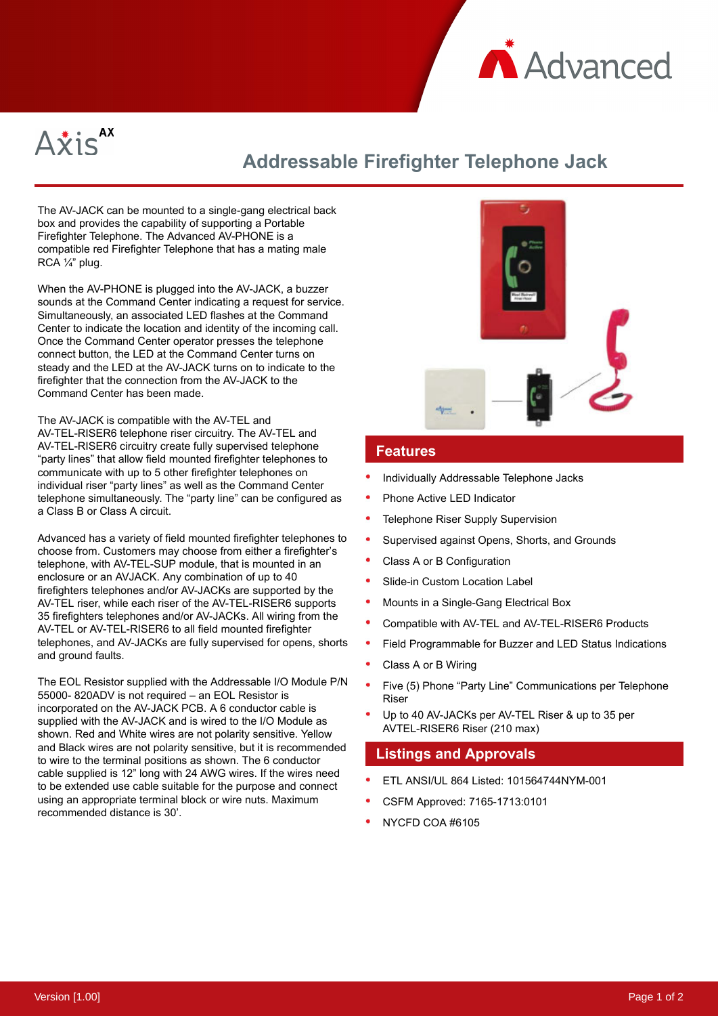



# **Addressable Firefighter Telephone Jack**

The AV-JACK can be mounted to a single-gang electrical back box and provides the capability of supporting a Portable Firefighter Telephone. The Advanced AV-PHONE is a compatible red Firefighter Telephone that has a mating male RCA ¼" plug.

When the AV-PHONE is plugged into the AV-JACK, a buzzer sounds at the Command Center indicating a request for service. Simultaneously, an associated LED flashes at the Command Center to indicate the location and identity of the incoming call. Once the Command Center operator presses the telephone connect button, the LED at the Command Center turns on steady and the LED at the AV-JACK turns on to indicate to the firefighter that the connection from the AV-JACK to the Command Center has been made.

The AV-JACK is compatible with the AV-TEL and AV-TEL-RISER6 telephone riser circuitry. The AV-TEL and AV-TEL-RISER6 circuitry create fully supervised telephone "party lines" that allow field mounted firefighter telephones to communicate with up to 5 other firefighter telephones on individual riser "party lines" as well as the Command Center telephone simultaneously. The "party line" can be configured as a Class B or Class A circuit.

Advanced has a variety of field mounted firefighter telephones to choose from. Customers may choose from either a firefighter's telephone, with AV-TEL-SUP module, that is mounted in an enclosure or an AVJACK. Any combination of up to 40 firefighters telephones and/or AV-JACKs are supported by the AV-TEL riser, while each riser of the AV-TEL-RISER6 supports 35 firefighters telephones and/or AV-JACKs. All wiring from the AV-TEL or AV-TEL-RISER6 to all field mounted firefighter telephones, and AV-JACKs are fully supervised for opens, shorts and ground faults.

The EOL Resistor supplied with the Addressable I/O Module P/N 55000- 820ADV is not required – an EOL Resistor is incorporated on the AV-JACK PCB. A 6 conductor cable is supplied with the AV-JACK and is wired to the I/O Module as shown. Red and White wires are not polarity sensitive. Yellow and Black wires are not polarity sensitive, but it is recommended to wire to the terminal positions as shown. The 6 conductor cable supplied is 12" long with 24 AWG wires. If the wires need to be extended use cable suitable for the purpose and connect using an appropriate terminal block or wire nuts. Maximum recommended distance is 30'.



#### **Features**

- Individually Addressable Telephone Jacks
- Phone Active LED Indicator
- Telephone Riser Supply Supervision
- Supervised against Opens, Shorts, and Grounds
- Class A or B Configuration
- Slide-in Custom Location Label
- Mounts in a Single-Gang Electrical Box
- Compatible with AV-TEL and AV-TEL-RISER6 Products
- Field Programmable for Buzzer and LED Status Indications
- Class A or B Wiring
- Five (5) Phone "Party Line" Communications per Telephone Riser
- Up to 40 AV-JACKs per AV-TEL Riser & up to 35 per AVTEL-RISER6 Riser (210 max)

### **Listings and Approvals**

- ETL ANSI/UL 864 Listed: 101564744NYM-001
- CSFM Approved: 7165-1713:0101
- NYCFD COA #6105